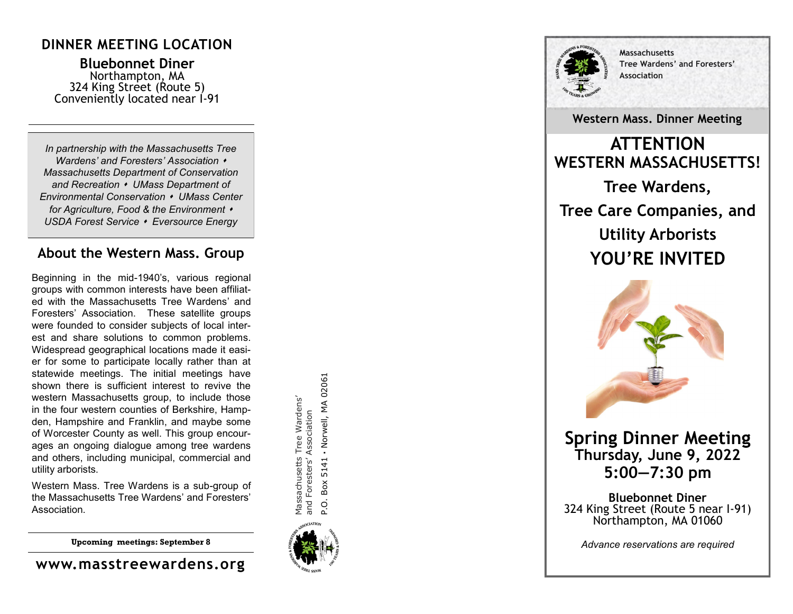## **DINNER MEETING LOCATION**

**Bluebonnet Diner** Northampton, MA 324 King Street (Route 5) Conveniently located near I -91

*In partnership with the Massachusetts Tree Wardens' and Foresters' Association*  ⬧*Massachusetts Department of Conservation and Recreation*  ⬧ *UMass Department of Environmental Conservation*  ⬧ *UMass Center for Agriculture, Food & the Environment*  ⬧ *USDA Forest Service*  ⬧ *Eversource Energy*

### **About the Western Mass. Group**

Beginning in the mid -1940 's, various regional groups with common interests have been affiliated with the Massachusetts Tree Wardens' and Foresters' Association. These satellite groups were founded to consider subjects of local interest and share solutions to common problems. Widespread geographical locations made it easier for some to participate locally rather than at statewide meetings. The initial meetings have shown there is sufficient interest to revive the western Massachusetts group, to include those in the four western counties of Berkshire, Hampden, Hampshire and Franklin, and maybe some of Worcester County as well. This group encourages an ongoing dialogue among tree wardens and others, including municipal, commercial and utility arborists.

Western Mass. Tree Wardens is a sub -group of the Massachusetts Tree Wardens' and Foresters' Association.

**Upcoming meetings: September 8**

**www.masstreewardens.org**

5141 - Norwell, MA 02061 P.O. Box 5141 **·** Norwell, MA 02061Massachusetts Tree Wardens' Massachusetts Tree Wardens' and Foresters' Association and Foresters' Association  $Box$ P.O.





**Massachusetts Tree Wardens' and Foresters ' Association**

**Western Mass. Dinner Meeting**

**ATTENTION WESTERN MASSACHUSETTS! Tree Wardens, Tree Care Companies, and Utility Arborists YOU 'RE INVITED**



**Spring Dinner Meeting Thursday, June 9, 2022 5:00 —7:30 pm**

**Bluebonnet Diner** 324 King Street (Route 5 near I -91) Northampton, MA 01060

*Advance reservations are required*